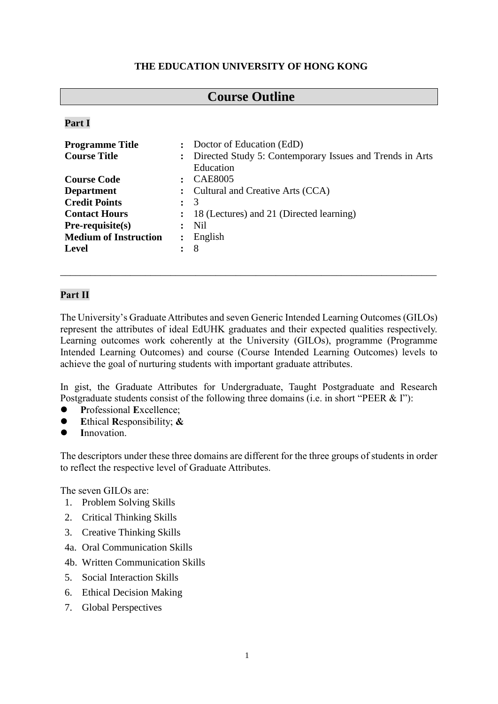### **THE EDUCATION UNIVERSITY OF HONG KONG**

# **Course Outline**

#### **Part I**

| <b>Programme Title</b>       |                | : Doctor of Education (EdD)                              |  |  |
|------------------------------|----------------|----------------------------------------------------------|--|--|
| <b>Course Title</b>          | $\ddot{\cdot}$ | Directed Study 5: Contemporary Issues and Trends in Arts |  |  |
|                              |                | Education                                                |  |  |
| <b>Course Code</b>           |                | <b>CAE8005</b>                                           |  |  |
| <b>Department</b>            |                | Cultural and Creative Arts (CCA)                         |  |  |
| <b>Credit Points</b>         | $\ddot{\cdot}$ | 3                                                        |  |  |
| <b>Contact Hours</b>         |                | 18 (Lectures) and 21 (Directed learning)                 |  |  |
| $Pre-requisite(s)$           |                | Nil                                                      |  |  |
| <b>Medium of Instruction</b> | $\ddot{\cdot}$ | English                                                  |  |  |
| <b>Level</b>                 |                | 8                                                        |  |  |
|                              |                |                                                          |  |  |

### **Part II**

The University's Graduate Attributes and seven Generic Intended Learning Outcomes (GILOs) represent the attributes of ideal EdUHK graduates and their expected qualities respectively. Learning outcomes work coherently at the University (GILOs), programme (Programme Intended Learning Outcomes) and course (Course Intended Learning Outcomes) levels to achieve the goal of nurturing students with important graduate attributes.

\_\_\_\_\_\_\_\_\_\_\_\_\_\_\_\_\_\_\_\_\_\_\_\_\_\_\_\_\_\_\_\_\_\_\_\_\_\_\_\_\_\_\_\_\_\_\_\_\_\_\_\_\_\_\_\_\_\_\_\_\_\_\_\_\_\_\_\_\_\_\_\_\_\_\_

In gist, the Graduate Attributes for Undergraduate, Taught Postgraduate and Research Postgraduate students consist of the following three domains (i.e. in short "PEER & I"):

- **P**rofessional **E**xcellence;
- **E**thical **R**esponsibility; **&**
- **I**nnovation.

The descriptors under these three domains are different for the three groups of students in order to reflect the respective level of Graduate Attributes.

The seven GILOs are:

- 1. Problem Solving Skills
- 2. Critical Thinking Skills
- 3. Creative Thinking Skills
- 4a. Oral Communication Skills
- 4b. Written Communication Skills
- 5. Social Interaction Skills
- 6. Ethical Decision Making
- 7. Global Perspectives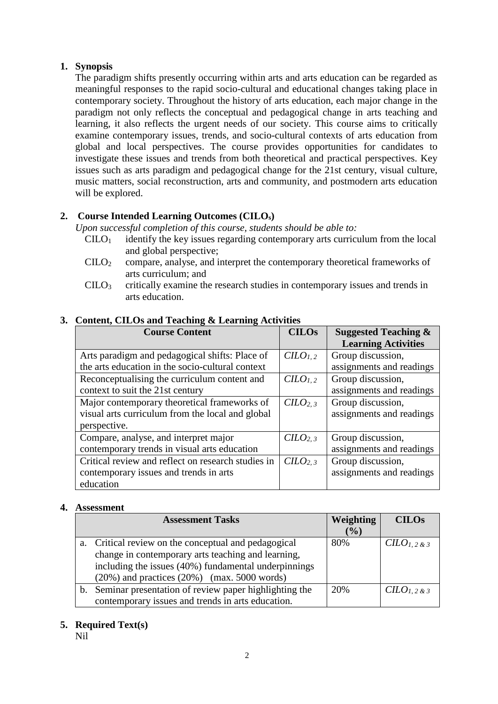### **1. Synopsis**

The paradigm shifts presently occurring within arts and arts education can be regarded as meaningful responses to the rapid socio-cultural and educational changes taking place in contemporary society. Throughout the history of arts education, each major change in the paradigm not only reflects the conceptual and pedagogical change in arts teaching and learning, it also reflects the urgent needs of our society. This course aims to critically examine contemporary issues, trends, and socio-cultural contexts of arts education from global and local perspectives. The course provides opportunities for candidates to investigate these issues and trends from both theoretical and practical perspectives. Key issues such as arts paradigm and pedagogical change for the 21st century, visual culture, music matters, social reconstruction, arts and community, and postmodern arts education will be explored.

# **2. Course Intended Learning Outcomes (CILOs)**

*Upon successful completion of this course, students should be able to:* 

- $C I L O<sub>1</sub>$  identify the key issues regarding contemporary arts curriculum from the local and global perspective;
- CILO2 compare, analyse, and interpret the contemporary theoretical frameworks of arts curriculum; and
- $\text{CHO}_3$  critically examine the research studies in contemporary issues and trends in arts education.

| <b>Course Content</b>                              | <b>CILOs</b>                    | <b>Suggested Teaching &amp;</b> |
|----------------------------------------------------|---------------------------------|---------------------------------|
|                                                    |                                 | <b>Learning Activities</b>      |
| Arts paradigm and pedagogical shifts: Place of     | C <sub>1, 2</sub>               | Group discussion,               |
| the arts education in the socio-cultural context   |                                 | assignments and readings        |
| Reconceptualising the curriculum content and       | C <i>LO</i> <sub>1,2</sub>      | Group discussion,               |
| context to suit the 21st century                   |                                 | assignments and readings        |
| Major contemporary theoretical frameworks of       | C <i>LO</i> <sub>2,3</sub>      | Group discussion,               |
| visual arts curriculum from the local and global   |                                 | assignments and readings        |
| perspective.                                       |                                 |                                 |
| Compare, analyse, and interpret major              | C <sub>L</sub> O <sub>2,3</sub> | Group discussion,               |
| contemporary trends in visual arts education       |                                 | assignments and readings        |
| Critical review and reflect on research studies in | C <sub>2.3</sub>                | Group discussion,               |
| contemporary issues and trends in arts             |                                 | assignments and readings        |
| education                                          |                                 |                                 |

### **3. Content, CILOs and Teaching & Learning Activities**

#### **4. Assessment**

|                                                      | <b>Assessment Tasks</b>                                  | <b>Weighting</b> | <b>CILOs</b>    |
|------------------------------------------------------|----------------------------------------------------------|------------------|-----------------|
|                                                      |                                                          | (%)              |                 |
| a.                                                   | Critical review on the conceptual and pedagogical        | 80%              | $CLO_{1,2}$ & 3 |
|                                                      | change in contemporary arts teaching and learning,       |                  |                 |
| including the issues (40%) fundamental underpinnings |                                                          |                  |                 |
|                                                      | $(20\%)$ and practices $(20\%)$ (max. 5000 words)        |                  |                 |
|                                                      | b. Seminar presentation of review paper highlighting the | 20%              | $CLO_{1,2,8,3}$ |
|                                                      | contemporary issues and trends in arts education.        |                  |                 |

### **5. Required Text(s)**

Nil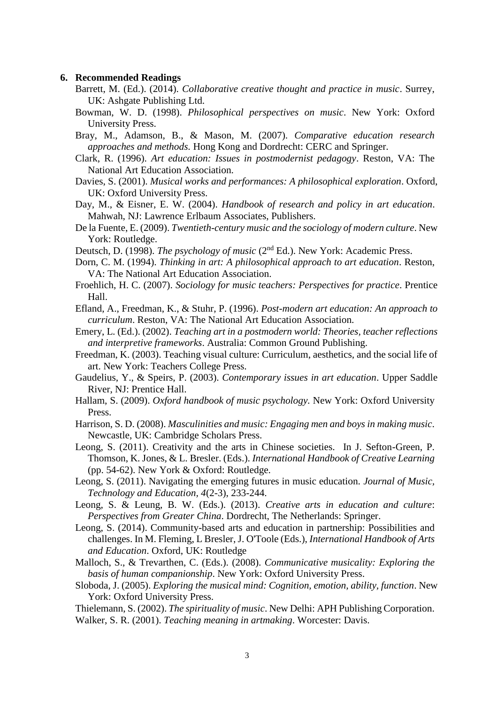#### **6. Recommended Readings**

- Barrett, M. (Ed.). (2014). *Collaborative creative thought and practice in music*. Surrey, UK: Ashgate Publishing Ltd.
- Bowman, W. D. (1998). *Philosophical perspectives on music*. New York: Oxford University Press.
- Bray, M., Adamson, B., & Mason, M. (2007). *Comparative education research approaches and methods.* Hong Kong and Dordrecht: CERC and Springer.
- Clark, R. (1996). *Art education: Issues in postmodernist pedagogy*. Reston, VA: The National Art Education Association.
- Davies, S. (2001). *Musical works and performances: A philosophical exploration*. Oxford, UK: Oxford University Press.
- Day, M., & Eisner, E. W. (2004). *Handbook of research and policy in art education*. Mahwah, NJ: Lawrence Erlbaum Associates, Publishers.
- De la Fuente, E. (2009). *Twentieth-century music and the sociology of modern culture*. New York: Routledge.
- Deutsch, D. (1998). *The psychology of music* (2nd Ed.). New York: Academic Press.
- Dorn, C. M. (1994). *Thinking in art: A philosophical approach to art education*. Reston, VA: The National Art Education Association.
- Froehlich, H. C. (2007). *Sociology for music teachers: Perspectives for practice*. Prentice Hall.
- Efland, A., Freedman, K., & Stuhr, P. (1996). *Post-modern art education: An approach to curriculum*. Reston, VA: The National Art Education Association.
- Emery, L. (Ed.). (2002). *Teaching art in a postmodern world: Theories, teacher reflections and interpretive frameworks*. Australia: Common Ground Publishing.
- Freedman, K. (2003). Teaching visual culture: Curriculum, aesthetics, and the social life of art. New York: Teachers College Press.
- Gaudelius, Y., & Speirs, P. (2003). *Contemporary issues in art education*. Upper Saddle River, NJ: Prentice Hall.
- Hallam, S. (2009). *Oxford handbook of music psychology.* New York: Oxford University Press.
- Harrison, S. D. (2008). *Masculinities and music: Engaging men and boys in making music*. Newcastle, UK: Cambridge Scholars Press.
- Leong, S. (2011). Creativity and the arts in Chinese societies. In J. Sefton-Green, P. Thomson, K. Jones, & L. Bresler. (Eds.). *International Handbook of Creative Learning* (pp. 54-62). New York & Oxford: Routledge.
- Leong, S. (2011). Navigating the emerging futures in music education. *Journal of Music, Technology and Education, 4*(2-3), 233-244.
- Leong, S. & Leung, B. W. (Eds.). (2013). *Creative arts in education and culture*: *Perspectives from Greater China*. Dordrecht, The Netherlands: Springer.
- Leong, S. (2014). Community-based arts and education in partnership: Possibilities and challenges. In M. Fleming, L Bresler, J. O'Toole (Eds.), *International Handbook of Arts and Education*. Oxford, UK: Routledge
- Malloch, S., & Trevarthen, C. (Eds.). (2008). *Communicative musicality: Exploring the basis of human companionship*. New York: Oxford University Press.
- Sloboda, J. (2005). *Exploring the musical mind: Cognition, emotion, ability, function*. New York: Oxford University Press.
- Thielemann, S. (2002). *The spirituality of music*. New Delhi: APH Publishing Corporation. Walker, S. R. (2001). *Teaching meaning in artmaking*. Worcester: Davis.